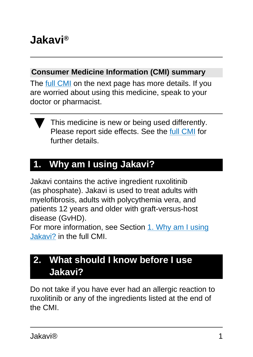# **Jakavi®**

#### **Consumer Medicine Information (CMI) summary**

The [full CMI](#page-3-0) on the next page has more details. If you are worried about using this medicine, speak to your doctor or pharmacist.



# **1. Why am I using Jakavi?**

Jakavi contains the active ingredient ruxolitinib (as phosphate). Jakavi is used to treat adults with myelofibrosis, adults with polycythemia vera, and patients 12 years and older with graft-versus-host disease (GvHD).

For more information, see Section [1. Why am I using](#page-4-0) [Jakavi?](#page-4-0) in the full CMI.

## **2. What should I know before I use Jakavi?**

Do not take if you have ever had an allergic reaction to ruxolitinib or any of the ingredients listed at the end of the CMI.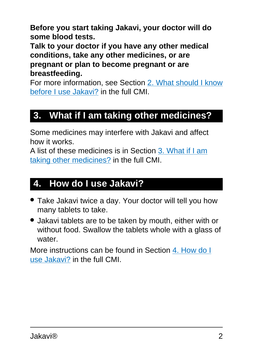**Before you start taking Jakavi, your doctor will do some blood tests.** 

**Talk to your doctor if you have any other medical conditions, take any other medicines, or are pregnant or plan to become pregnant or are breastfeeding.** 

For more information, see Section [2. What should I know](#page-6-0) [before I use Jakavi?](#page-6-0) in the full CMI.

## **3. What if I am taking other medicines?**

Some medicines may interfere with Jakavi and affect how it works.

A list of these medicines is in Section [3. What if I am](#page-9-0) [taking other medicines?](#page-9-0) in the full CMI.

#### **4. How do I use Jakavi?**

- Take Jakavi twice a day. Your doctor will tell you how many tablets to take.
- Jakavi tablets are to be taken by mouth, either with or without food. Swallow the tablets whole with a glass of water.

More instructions can be found in Section [4. How do I](#page-10-0) [use Jakavi?](#page-10-0) in the full CMI.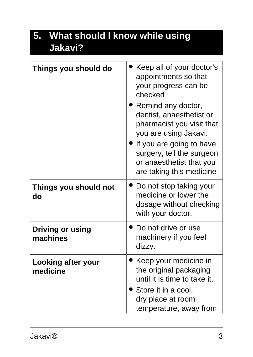# **5. What should I know while using Jakavi?**

| Things you should do                | Keep all of your doctor's<br>appointments so that<br>your progress can be<br>checked<br>Remind any doctor,<br>dentist, anaesthetist or<br>pharmacist you visit that<br>you are using Jakavi.<br>If you are going to have<br>surgery, tell the surgeon<br>or anaesthetist that you<br>are taking this medicine |
|-------------------------------------|---------------------------------------------------------------------------------------------------------------------------------------------------------------------------------------------------------------------------------------------------------------------------------------------------------------|
| Things you should not<br>do         | Do not stop taking your<br>medicine or lower the<br>dosage without checking<br>with your doctor.                                                                                                                                                                                                              |
| <b>Driving or using</b><br>machines | Do not drive or use<br>machinery if you feel<br>dizzy.                                                                                                                                                                                                                                                        |
| Looking after your<br>medicine      | Keep your medicine in<br>the original packaging<br>until it is time to take it.<br>Store it in a cool,<br>dry place at room<br>temperature, away from                                                                                                                                                         |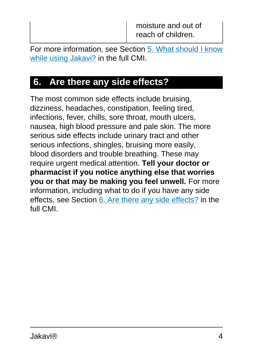For more information, see Section [5. What should I know](#page-12-0) [while using Jakavi?](#page-12-0) in the full CMI.

## <span id="page-3-0"></span>**6. Are there any side effects?**

The most common side effects include bruising, dizziness, headaches, constipation, feeling tired, infections, fever, chills, sore throat, mouth ulcers, nausea, high blood pressure and pale skin. The more serious side effects include urinary tract and other serious infections, shingles, bruising more easily, blood disorders and trouble breathing. These may require urgent medical attention. **Tell your doctor or pharmacist if you notice anything else that worries you or that may be making you feel unwell.** For more information, including what to do if you have any side effects, see Section [6. Are there any side effects?](#page-15-0) in the full CMI.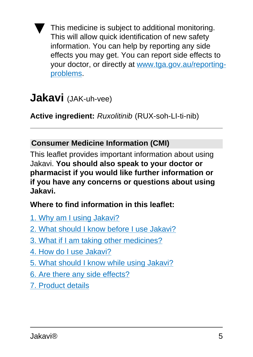This medicine is subject to additional monitoring. This will allow quick identification of new safety information. You can help by reporting any side effects you may get. You can report side effects to your doctor, or directly at [www.tga.gov.au/reporting](http://www.tga.gov.au/reporting-problems)[problems](http://www.tga.gov.au/reporting-problems).

# **Jakavi** (JAK-uh-vee)

**Active ingredient:** Ruxolitinib (RUX-soh-LI-ti-nib)

#### **Consumer Medicine Information (CMI)**

This leaflet provides important information about using Jakavi. **You should also speak to your doctor or pharmacist if you would like further information or if you have any concerns or questions about using Jakavi.**

#### **Where to find information in this leaflet:**

- [1. Why am I using Jakavi?](#page-4-0)
- [2. What should I know before I use Jakavi?](#page-6-0)
- [3. What if I am taking other medicines?](#page-9-0)
- [4. How do I use Jakavi?](#page-10-0)
- [5. What should I know while using Jakavi?](#page-12-0)
- [6. Are there any side effects?](#page-15-0)
- <span id="page-4-0"></span>[7. Product details](#page-19-0)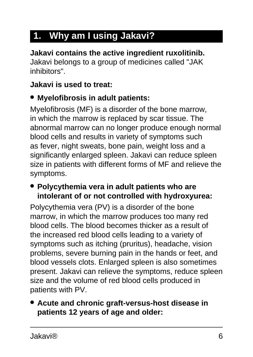# **1. Why am I using Jakavi?**

**Jakavi contains the active ingredient ruxolitinib.** Jakavi belongs to a group of medicines called "JAK inhibitors".

#### **Jakavi is used to treat:**

#### ● **Myelofibrosis in adult patients:**

Myelofibrosis (MF) is a disorder of the bone marrow, in which the marrow is replaced by scar tissue. The abnormal marrow can no longer produce enough normal blood cells and results in variety of symptoms such as fever, night sweats, bone pain, weight loss and a significantly enlarged spleen. Jakavi can reduce spleen size in patients with different forms of MF and relieve the symptoms.

#### ● **Polycythemia vera in adult patients who are intolerant of or not controlled with hydroxyurea:**

Polycythemia vera (PV) is a disorder of the bone marrow, in which the marrow produces too many red blood cells. The blood becomes thicker as a result of the increased red blood cells leading to a variety of symptoms such as itching (pruritus), headache, vision problems, severe burning pain in the hands or feet, and blood vessels clots. Enlarged spleen is also sometimes present. Jakavi can relieve the symptoms, reduce spleen size and the volume of red blood cells produced in patients with PV.

#### ● **Acute and chronic graft-versus-host disease in patients 12 years of age and older:**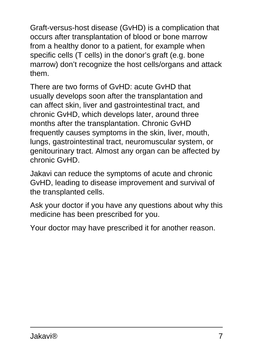Graft-versus-host disease (GvHD) is a complication that occurs after transplantation of blood or bone marrow from a healthy donor to a patient, for example when specific cells (T cells) in the donor's graft (e.g. bone marrow) don't recognize the host cells/organs and attack them.

There are two forms of GvHD: acute GvHD that usually develops soon after the transplantation and can affect skin, liver and gastrointestinal tract, and chronic GvHD, which develops later, around three months after the transplantation. Chronic GvHD frequently causes symptoms in the skin, liver, mouth, lungs, gastrointestinal tract, neuromuscular system, or genitourinary tract. Almost any organ can be affected by chronic GvHD.

Jakavi can reduce the symptoms of acute and chronic GvHD, leading to disease improvement and survival of the transplanted cells.

Ask your doctor if you have any questions about why this medicine has been prescribed for you.

<span id="page-6-0"></span>Your doctor may have prescribed it for another reason.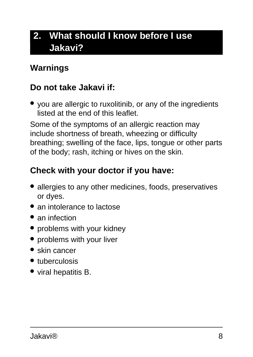# **2. What should I know before I use Jakavi?**

#### **Warnings**

#### **Do not take Jakavi if:**

• you are allergic to ruxolitinib, or any of the ingredients listed at the end of this leaflet.

Some of the symptoms of an allergic reaction may include shortness of breath, wheezing or difficulty breathing; swelling of the face, lips, tongue or other parts of the body; rash, itching or hives on the skin.

#### **Check with your doctor if you have:**

- allergies to any other medicines, foods, preservatives or dyes.
- an intolerance to lactose
- an infection
- problems with your kidney
- problems with your liver
- skin cancer
- tuberculosis
- viral hepatitis B.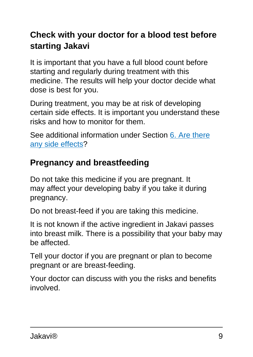## **Check with your doctor for a blood test before starting Jakavi**

It is important that you have a full blood count before starting and regularly during treatment with this medicine. The results will help your doctor decide what dose is best for you.

During treatment, you may be at risk of developing certain side effects. It is important you understand these risks and how to monitor for them.

See additional information under Section [6. Are there](#page-15-0) [any side effects?](#page-15-0)

## **Pregnancy and breastfeeding**

Do not take this medicine if you are pregnant. It may affect your developing baby if you take it during pregnancy.

Do not breast-feed if you are taking this medicine.

It is not known if the active ingredient in Jakavi passes into breast milk. There is a possibility that your baby may be affected.

Tell your doctor if you are pregnant or plan to become pregnant or are breast-feeding.

Your doctor can discuss with you the risks and benefits involved.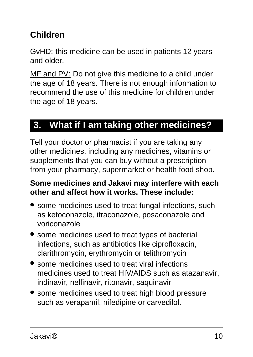## **Children**

GvHD: this medicine can be used in patients 12 years and older.

MF and PV: Do not give this medicine to a child under the age of 18 years. There is not enough information to recommend the use of this medicine for children under the age of 18 years.

## <span id="page-9-0"></span>**3. What if I am taking other medicines?**

Tell your doctor or pharmacist if you are taking any other medicines, including any medicines, vitamins or supplements that you can buy without a prescription from your pharmacy, supermarket or health food shop.

#### **Some medicines and Jakavi may interfere with each other and affect how it works. These include:**

- some medicines used to treat fungal infections, such as ketoconazole, itraconazole, posaconazole and voriconazole
- some medicines used to treat types of bacterial infections, such as antibiotics like ciprofloxacin, clarithromycin, erythromycin or telithromycin
- some medicines used to treat viral infections medicines used to treat HIV/AIDS such as atazanavir, indinavir, nelfinavir, ritonavir, saquinavir
- some medicines used to treat high blood pressure such as verapamil, nifedipine or carvedilol.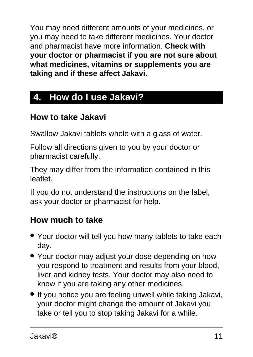You may need different amounts of your medicines, or you may need to take different medicines. Your doctor and pharmacist have more information. **Check with your doctor or pharmacist if you are not sure about what medicines, vitamins or supplements you are taking and if these affect Jakavi.**

# <span id="page-10-0"></span>**4. How do I use Jakavi?**

## **How to take Jakavi**

Swallow Jakavi tablets whole with a glass of water.

Follow all directions given to you by your doctor or pharmacist carefully.

They may differ from the information contained in this leaflet.

If you do not understand the instructions on the label, ask your doctor or pharmacist for help.

### **How much to take**

- Your doctor will tell you how many tablets to take each day.
- Your doctor may adjust your dose depending on how you respond to treatment and results from your blood, liver and kidney tests. Your doctor may also need to know if you are taking any other medicines.
- If you notice you are feeling unwell while taking Jakavi, your doctor might change the amount of Jakavi you take or tell you to stop taking Jakavi for a while.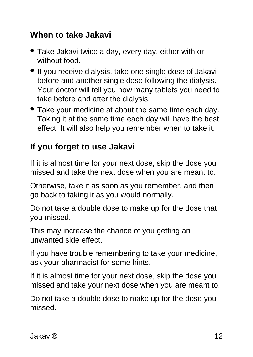#### **When to take Jakavi**

- Take Jakavi twice a day, every day, either with or without food.
- If you receive dialysis, take one single dose of Jakavi before and another single dose following the dialysis. Your doctor will tell you how many tablets you need to take before and after the dialysis.
- Take your medicine at about the same time each day. Taking it at the same time each day will have the best effect. It will also help you remember when to take it.

## **If you forget to use Jakavi**

If it is almost time for your next dose, skip the dose you missed and take the next dose when you are meant to.

Otherwise, take it as soon as you remember, and then go back to taking it as you would normally.

Do not take a double dose to make up for the dose that you missed.

This may increase the chance of you getting an unwanted side effect.

If you have trouble remembering to take your medicine, ask your pharmacist for some hints.

If it is almost time for your next dose, skip the dose you missed and take your next dose when you are meant to.

Do not take a double dose to make up for the dose you missed.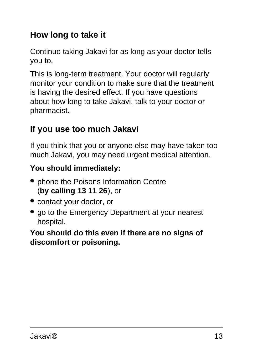## **How long to take it**

Continue taking Jakavi for as long as your doctor tells you to.

This is long-term treatment. Your doctor will regularly monitor your condition to make sure that the treatment is having the desired effect. If you have questions about how long to take Jakavi, talk to your doctor or pharmacist.

### **If you use too much Jakavi**

If you think that you or anyone else may have taken too much Jakavi, you may need urgent medical attention.

#### **You should immediately:**

- phone the Poisons Information Centre (**by calling 13 11 26**), or
- contact your doctor, or
- go to the Emergency Department at your nearest hospital.

#### <span id="page-12-0"></span>**You should do this even if there are no signs of discomfort or poisoning.**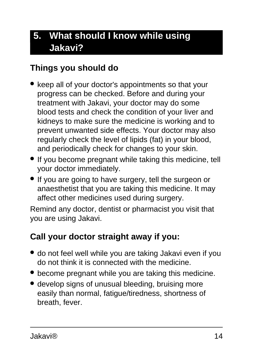# **5. What should I know while using Jakavi?**

#### **Things you should do**

- keep all of your doctor's appointments so that your progress can be checked. Before and during your treatment with Jakavi, your doctor may do some blood tests and check the condition of your liver and kidneys to make sure the medicine is working and to prevent unwanted side effects. Your doctor may also regularly check the level of lipids (fat) in your blood, and periodically check for changes to your skin.
- If you become pregnant while taking this medicine, tell your doctor immediately.
- If you are going to have surgery, tell the surgeon or anaesthetist that you are taking this medicine. It may affect other medicines used during surgery.

Remind any doctor, dentist or pharmacist you visit that you are using Jakavi.

### **Call your doctor straight away if you:**

- do not feel well while you are taking Jakavi even if you do not think it is connected with the medicine.
- become pregnant while you are taking this medicine.
- develop signs of unusual bleeding, bruising more easily than normal, fatigue/tiredness, shortness of breath, fever.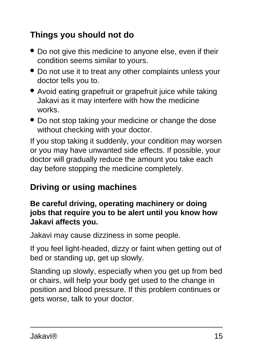## **Things you should not do**

- Do not give this medicine to anyone else, even if their condition seems similar to yours.
- Do not use it to treat any other complaints unless your doctor tells you to.
- Avoid eating grapefruit or grapefruit juice while taking Jakavi as it may interfere with how the medicine works.
- Do not stop taking your medicine or change the dose without checking with your doctor.

If you stop taking it suddenly, your condition may worsen or you may have unwanted side effects. If possible, your doctor will gradually reduce the amount you take each day before stopping the medicine completely.

### **Driving or using machines**

#### **Be careful driving, operating machinery or doing jobs that require you to be alert until you know how Jakavi affects you.**

Jakavi may cause dizziness in some people.

If you feel light-headed, dizzy or faint when getting out of bed or standing up, get up slowly.

Standing up slowly, especially when you get up from bed or chairs, will help your body get used to the change in position and blood pressure. If this problem continues or gets worse, talk to your doctor.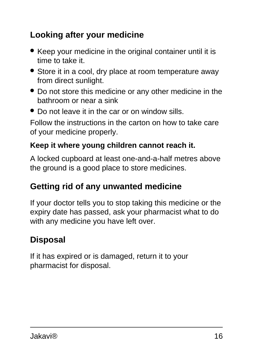## **Looking after your medicine**

- Keep your medicine in the original container until it is time to take it.
- Store it in a cool, dry place at room temperature away from direct sunlight.
- Do not store this medicine or any other medicine in the bathroom or near a sink
- Do not leave it in the car or on window sills.

Follow the instructions in the carton on how to take care of your medicine properly.

#### **Keep it where young children cannot reach it.**

A locked cupboard at least one-and-a-half metres above the ground is a good place to store medicines.

#### <span id="page-15-0"></span>**Getting rid of any unwanted medicine**

If your doctor tells you to stop taking this medicine or the expiry date has passed, ask your pharmacist what to do with any medicine you have left over.

### **Disposal**

If it has expired or is damaged, return it to your pharmacist for disposal.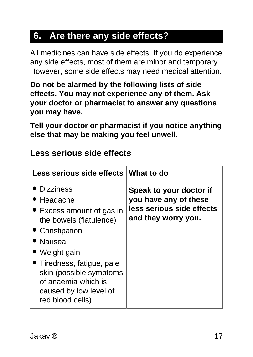## **6. Are there any side effects?**

All medicines can have side effects. If you do experience any side effects, most of them are minor and temporary. However, some side effects may need medical attention.

**Do not be alarmed by the following lists of side effects. You may not experience any of them. Ask your doctor or pharmacist to answer any questions you may have.**

**Tell your doctor or pharmacist if you notice anything else that may be making you feel unwell.**

| <b>Less serious side effects</b> |
|----------------------------------|
|----------------------------------|

| Less serious side effects What to do                                                                                                                                                                                                                             |                                                                                                      |
|------------------------------------------------------------------------------------------------------------------------------------------------------------------------------------------------------------------------------------------------------------------|------------------------------------------------------------------------------------------------------|
| <b>Dizziness</b><br>Headache<br>• Excess amount of gas in<br>the bowels (flatulence)<br>• Constipation<br>• Nausea<br>Weight gain<br>• Tiredness, fatigue, pale<br>skin (possible symptoms<br>of anaemia which is<br>caused by low level of<br>red blood cells). | Speak to your doctor if<br>you have any of these<br>less serious side effects<br>and they worry you. |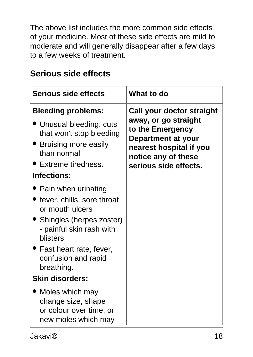The above list includes the more common side effects of your medicine. Most of these side effects are mild to moderate and will generally disappear after a few days to a few weeks of treatment.

| <b>Serious side effects</b>                                                                                                                                                   | What to do                                                                                                                                                             |
|-------------------------------------------------------------------------------------------------------------------------------------------------------------------------------|------------------------------------------------------------------------------------------------------------------------------------------------------------------------|
| <b>Bleeding problems:</b><br>' Unusual bleeding, cuts<br>that won't stop bleeding<br><b>Bruising more easily</b><br>than normal<br>▶ Extreme tiredness.<br><b>Infections:</b> | Call your doctor straight<br>away, or go straight<br>to the Emergency<br>Department at your<br>nearest hospital if you<br>notice any of these<br>serious side effects. |
| Pain when urinating<br>fever, chills, sore throat (<br>or mouth ulcers<br>Shingles (herpes zoster)<br>- painful skin rash with<br>blisters                                    |                                                                                                                                                                        |
| Fast heart rate, fever,<br>confusion and rapid<br>breathing.<br><b>Skin disorders:</b>                                                                                        |                                                                                                                                                                        |
| Moles which may<br>change size, shape<br>or colour over time, or<br>new moles which may                                                                                       |                                                                                                                                                                        |

#### **Serious side effects**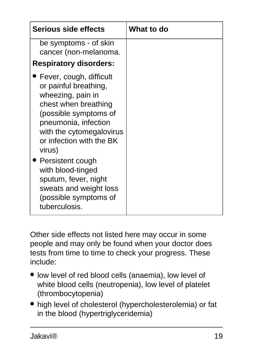| Serious side effects                                                                                                                                                                                             | <b>What to do</b> |
|------------------------------------------------------------------------------------------------------------------------------------------------------------------------------------------------------------------|-------------------|
| be symptoms - of skin<br>cancer (non-melanoma.                                                                                                                                                                   |                   |
| <b>Respiratory disorders:</b>                                                                                                                                                                                    |                   |
| Fever, cough, difficult<br>or painful breathing,<br>wheezing, pain in<br>chest when breathing<br>(possible symptoms of<br>pneumonia, infection<br>with the cytomegalovirus<br>or infection with the BK<br>virus) |                   |
| Persistent cough<br>with blood-tinged<br>sputum, fever, night<br>sweats and weight loss<br>(possible symptoms of<br>tuberculosis.                                                                                |                   |

Other side effects not listed here may occur in some people and may only be found when your doctor does tests from time to time to check your progress. These include:

- low level of red blood cells (anaemia), low level of white blood cells (neutropenia), low level of platelet (thrombocytopenia)
- high level of cholesterol (hypercholesterolemia) or fat in the blood (hypertriglyceridemia)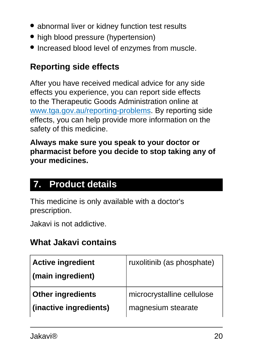- abnormal liver or kidney function test results
- high blood pressure (hypertension)
- Increased blood level of enzymes from muscle.

#### **Reporting side effects**

After you have received medical advice for any side effects you experience, you can report side effects to the Therapeutic Goods Administration online at [www.tga.gov.au/reporting-problems.](http://www.tga.gov.au/reporting-problems) By reporting side effects, you can help provide more information on the safety of this medicine.

**Always make sure you speak to your doctor or pharmacist before you decide to stop taking any of your medicines.**

### <span id="page-19-0"></span>**7. Product details**

This medicine is only available with a doctor's prescription.

Jakavi is not addictive.

#### **What Jakavi contains**

| <b>Active ingredient</b><br>(main ingredient) | ruxolitinib (as phosphate) |
|-----------------------------------------------|----------------------------|
| <b>Other ingredients</b>                      | microcrystalline cellulose |
| (inactive ingredients)                        | magnesium stearate         |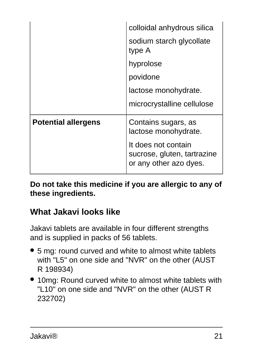|                            | colloidal anhydrous silica                                                   |
|----------------------------|------------------------------------------------------------------------------|
|                            | sodium starch glycollate<br>type A                                           |
|                            | hyprolose                                                                    |
|                            | povidone                                                                     |
|                            | lactose monohydrate.                                                         |
|                            | microcrystalline cellulose                                                   |
| <b>Potential allergens</b> | Contains sugars, as<br>lactose monohydrate.                                  |
|                            | It does not contain<br>sucrose, gluten, tartrazine<br>or any other azo dyes. |

**Do not take this medicine if you are allergic to any of these ingredients.**

### **What Jakavi looks like**

Jakavi tablets are available in four different strengths and is supplied in packs of 56 tablets.

- 5 mg: round curved and white to almost white tablets with "L5" on one side and "NVR" on the other (AUST R 198934)
- 10mg: Round curved white to almost white tablets with "L10" on one side and "NVR" on the other (AUST R 232702)